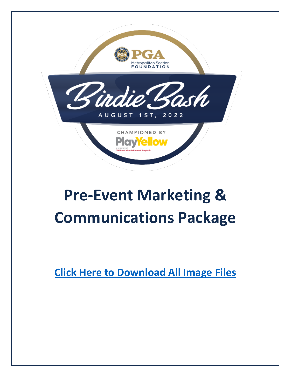

# **Pre-Event Marketing & Communications Package**

**[Click Here to Download](https://drive.google.com/drive/folders/1zy0fLT9RNZr6Rm7tsd1_TovxSxB4OGYr?usp=sharing) All Image Files**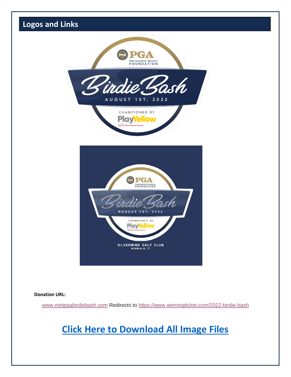

## **[Click Here to Download](https://drive.google.com/drive/folders/1zy0fLT9RNZr6Rm7tsd1_TovxSxB4OGYr?usp=sharing) All Image Files**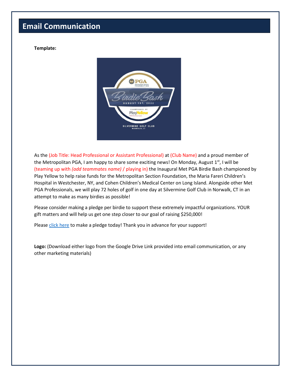### **Email Communication**

#### **Template:**



As the (Job Title: Head Professional or Assistant Professional) at (Club Name) and a proud member of the Metropolitan PGA, I am happy to share some exciting news! On Monday, August  $1<sup>st</sup>$ , I will be (teaming up with *(add teammates name)* / playing in) the Inaugural Met PGA Birdie Bash championed by Play Yellow to help raise funds for the Metropolitan Section Foundation, the Maria Fareri Children's Hospital in Westchester, NY, and Cohen Children's Medical Center on Long Island. Alongside other Met PGA Professionals, we will play 72 holes of golf in one day at Silvermine Golf Club in Norwalk, CT in an attempt to make as many birdies as possible!

Please consider making a pledge per birdie to support these extremely impactful organizations. YOUR gift matters and will help us get one step closer to our goal of raising \$250,000!

Please [click here](https://www.winningticket.com/2022-birdie-bash-professional-registration) to make a pledge today! Thank you in advance for your support!

**Logo:** (Download either logo from the Google Drive Link provided into email communication, or any other marketing materials)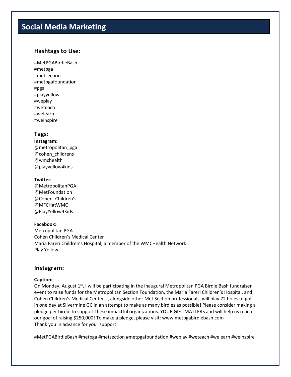## **Social Media Marketing**

#### **Hashtags to Use:**

#MetPGABirdieBash #metpga #metsection #metpgafoundation #pga #playyellow #weplay #weteach #welearn #weinspire

#### **Tags:**

**Instagram:**  @metropolitan\_pga @cohen\_childrens @wmchealth @playyellow4kids

#### **Twitter:**

@MetropolitanPGA @MetFoundation @Cohen\_Children's @MFCHatWMC @PlayYellow4Kids

#### **Facebook:**

Metropolitan PGA Cohen Children's Medical Center Maria Fareri Children's Hospital, a member of the WMCHealth Network Play Yellow

#### **Instagram:**

#### **Caption:**

On Monday, August  $1<sup>st</sup>$ , I will be participating in the inaugural Metropolitan PGA Birdie Bash fundraiser event to raise funds for the Metropolitan Section Foundation, the Maria Fareri Children's Hospital, and Cohen Children's Medical Center. I, alongside other Met Section professionals, will play 72 holes of golf in one day at Silvermine GC in an attempt to make as many birdies as possible! Please consider making a pledge per birdie to support these impactful organizations. YOUR GIFT MATTERS and will help us reach our goal of raising \$250,000! To make a pledge, please visit: www.metpgabirdiebash.com Thank you in advance for your support!

#MetPGABirdieBash #metpga #metsection #metpgafoundation #weplay #weteach #welearn #weinspire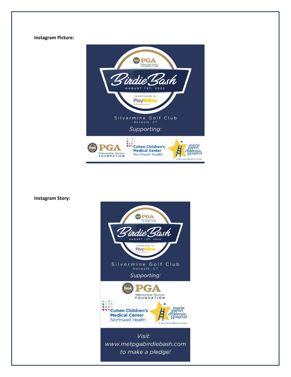#### **Instagram Picture:**



**Instagram Story:**

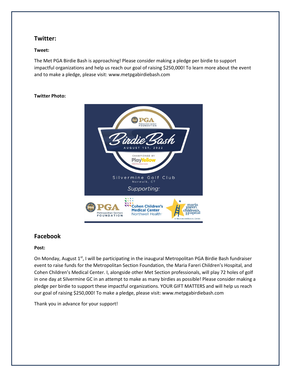#### **Twitter:**

#### **Tweet:**

The Met PGA Birdie Bash is approaching! Please consider making a pledge per birdie to support impactful organizations and help us reach our goal of raising \$250,000! To learn more about the event and to make a pledge, please visit: www.metpgabirdiebash.com

#### **Twitter Photo:**



#### **Facebook**

#### **Post:**

On Monday, August  $1<sup>st</sup>$ , I will be participating in the inaugural Metropolitan PGA Birdie Bash fundraiser event to raise funds for the Metropolitan Section Foundation, the Maria Fareri Children's Hospital, and Cohen Children's Medical Center. I, alongside other Met Section professionals, will play 72 holes of golf in one day at Silvermine GC in an attempt to make as many birdies as possible! Please consider making a pledge per birdie to support these impactful organizations. YOUR GIFT MATTERS and will help us reach our goal of raising \$250,000! To make a pledge, please visit: www.metpgabirdiebash.com

Thank you in advance for your support!